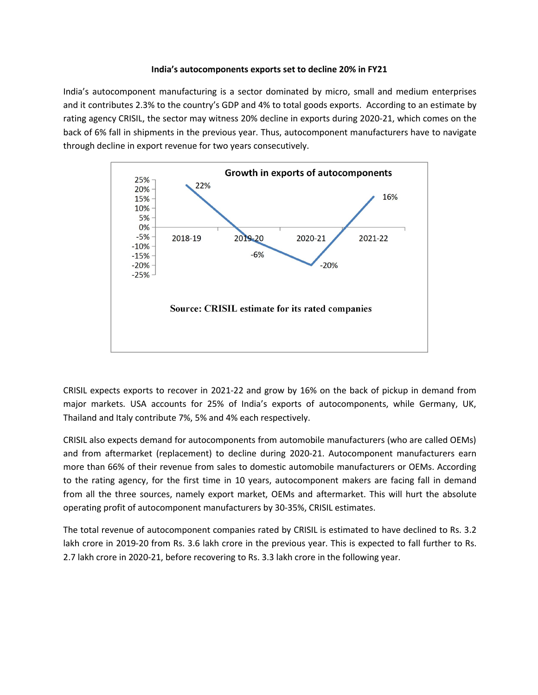#### **India's autocomponents exports set to decline 20% in FY21**

India's autocomponent manufacturing is a sector dominated by micro, small and medium enterprises and it contributes 2.3% to the country's GDP and 4% to total goods exports. According to an estimate by rating agency CRISIL, the sector may witness 20% decline in exports during 2020-21, which comes on the back of 6% fall in shipments in the previous year. Thus, autocomponent manufacturers have to navigate through decline in export revenue for two years consecutively.



CRISIL expects exports to recoverin 2021-22 and grow by 16% on the back of pickup in demand from major markets. USA accounts for 25% of India's exports of autocomponents, while Germany, UK, Thailand and Italy contribute 7%, 5% and 4% each respectively.

CRISIL also expects demand for autocomponents from automobile manufacturers (who are called OEMs) and from aftermarket (replacement) to decline during 2020-21. Autocomponent manufacturers earn more than 66% of their revenue from sales to domestic automobile manufacturers or OEMs. According to the rating agency, for the first time in 10 years, autocomponent makers are facing fall in demand from all the three sources, namely export market, OEMs and aftermarket. This will hurt the absolute operating profit of autocomponent manufacturers by 30-35%, CRISIL estimates.

The total revenue of autocomponent companies rated by CRISIL is estimated to have declined to Rs. 3.2 lakh crore in 2019-20 from Rs. 3.6 lakh crore in the previous year. This is expected to fall further to Rs. 2.7 lakh crore in 2020-21, before recovering to Rs. 3.3 lakh crore in the following year.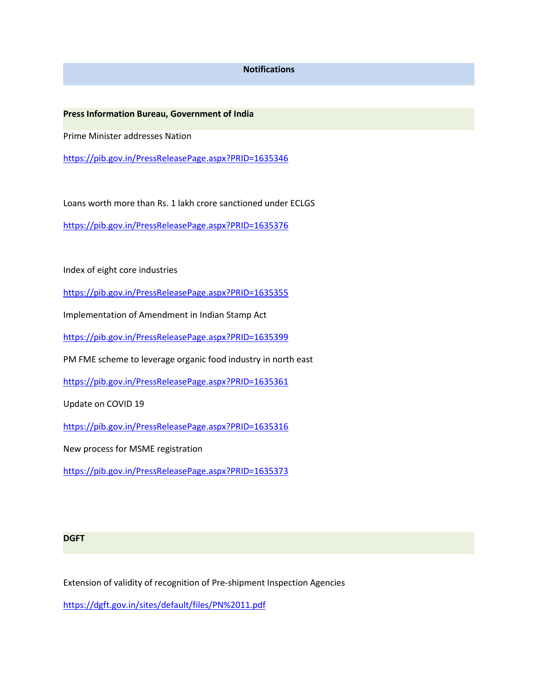### **Notifications**

**Press Information Bureau, Government of India**

Prime Minister addresses Nation

<https://pib.gov.in/PressReleasePage.aspx?PRID=1635346>

Loans worth more than Rs. 1 lakh crore sanctioned under ECLGS

<https://pib.gov.in/PressReleasePage.aspx?PRID=1635376>

Index of eight core industries

<https://pib.gov.in/PressReleasePage.aspx?PRID=1635355>

Implementation of Amendment in Indian Stamp Act

<https://pib.gov.in/PressReleasePage.aspx?PRID=1635399>

PM FME scheme to leverage organic food industry in north east

<https://pib.gov.in/PressReleasePage.aspx?PRID=1635361>

Update on COVID 19

<https://pib.gov.in/PressReleasePage.aspx?PRID=1635316>

New process for MSME registration

<https://pib.gov.in/PressReleasePage.aspx?PRID=1635373>

#### **DGFT**

Extension of validity of recognition of Pre-shipment Inspection Agencies

<https://dgft.gov.in/sites/default/files/PN%2011.pdf>